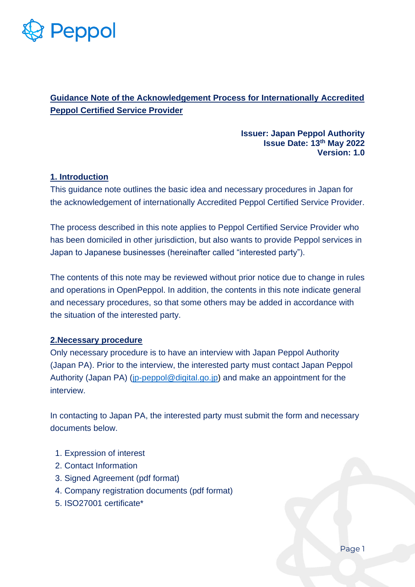

# **Guidance Note of the Acknowledgement Process for Internationally Accredited Peppol Certified Service Provider**

#### **Issuer: Japan Peppol Authority Issue Date: 13th May 2022 Version: 1.0**

## **1. Introduction**

This guidance note outlines the basic idea and necessary procedures in Japan for the acknowledgement of internationally Accredited Peppol Certified Service Provider.

The process described in this note applies to Peppol Certified Service Provider who has been domiciled in other jurisdiction, but also wants to provide Peppol services in Japan to Japanese businesses (hereinafter called "interested party").

The contents of this note may be reviewed without prior notice due to change in rules and operations in OpenPeppol. In addition, the contents in this note indicate general and necessary procedures, so that some others may be added in accordance with the situation of the interested party.

## **2.Necessary procedure**

Only necessary procedure is to have an interview with Japan Peppol Authority (Japan PA). Prior to the interview, the interested party must contact Japan Peppol Authority (Japan PA) [\(jp-peppol@digital.go.jp\)](mailto:jp-peppol@digital.go.jp) and make an appointment for the interview.

In contacting to Japan PA, the interested party must submit the form and necessary documents below.

- 1. Expression of interest
- 2. Contact Information
- 3. Signed Agreement (pdf format)
- 4. Company registration documents (pdf format)
- 5. ISO27001 certificate\*

Page 1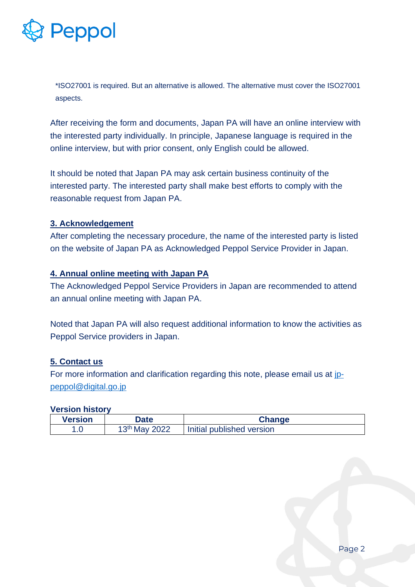

\*ISO27001 is required. But an alternative is allowed. The alternative must cover the ISO27001 aspects.

After receiving the form and documents, Japan PA will have an online interview with the interested party individually. In principle, Japanese language is required in the online interview, but with prior consent, only English could be allowed.

It should be noted that Japan PA may ask certain business continuity of the interested party. The interested party shall make best efforts to comply with the reasonable request from Japan PA.

## **3. Acknowledgement**

After completing the necessary procedure, the name of the interested party is listed on the website of Japan PA as Acknowledged Peppol Service Provider in Japan.

#### **4. Annual online meeting with Japan PA**

The Acknowledged Peppol Service Providers in Japan are recommended to attend an annual online meeting with Japan PA.

Noted that Japan PA will also request additional information to know the activities as Peppol Service providers in Japan.

## **5. Contact us**

For more information and clarification regarding this note, please email us at [jp](mailto:jp-peppol@digital.go.jp)[peppol@digital.go.jp](mailto:jp-peppol@digital.go.jp)

#### **Version history**

| Version | <b>Date</b>               | <b>Change</b>             |
|---------|---------------------------|---------------------------|
|         | 13 <sup>th</sup> May 2022 | Initial published version |